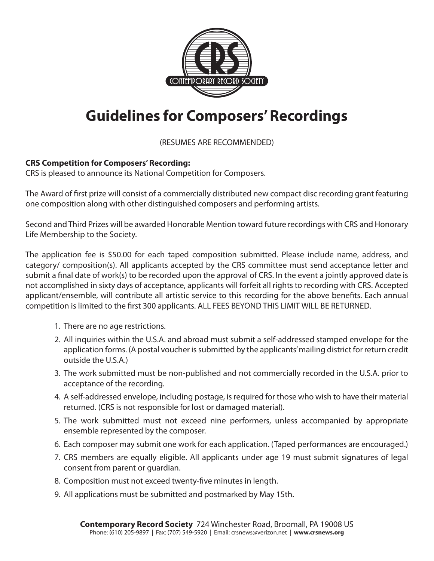

## **Guidelines for Composers' Recordings**

(RESUMES ARE RECOMMENDED)

## **CRS Competition for Composers' Recording:**

CRS is pleased to announce its National Competition for Composers.

The Award of first prize will consist of a commercially distributed new compact disc recording grant featuring one composition along with other distinguished composers and performing artists.

Second and Third Prizes will be awarded Honorable Mention toward future recordings with CRS and Honorary Life Membership to the Society.

The application fee is \$50.00 for each taped composition submitted. Please include name, address, and category/ composition(s). All applicants accepted by the CRS committee must send acceptance letter and submit a final date of work(s) to be recorded upon the approval of CRS. In the event a jointly approved date is not accomplished in sixty days of acceptance, applicants will forfeit all rights to recording with CRS. Accepted applicant/ensemble, will contribute all artistic service to this recording for the above benefits. Each annual competition is limited to the first 300 applicants. ALL FEES BEYOND THIS LIMIT WILL BE RETURNED.

- 1. There are no age restrictions.
- 2. All inquiries within the U.S.A. and abroad must submit a self-addressed stamped envelope for the application forms. (A postal voucher is submitted by the applicants' mailing district for return credit outside the U.S.A.)
- 3. The work submitted must be non-published and not commercially recorded in the U.S.A. prior to acceptance of the recording.
- 4. A self-addressed envelope, including postage, is required for those who wish to have their material returned. (CRS is not responsible for lost or damaged material).
- 5. The work submitted must not exceed nine performers, unless accompanied by appropriate ensemble represented by the composer.
- 6. Each composer may submit one work for each application. (Taped performances are encouraged.)
- 7. CRS members are equally eligible. All applicants under age 19 must submit signatures of legal consent from parent or guardian.
- 8. Composition must not exceed twenty-five minutes in length.
- 9. All applications must be submitted and postmarked by May 15th.